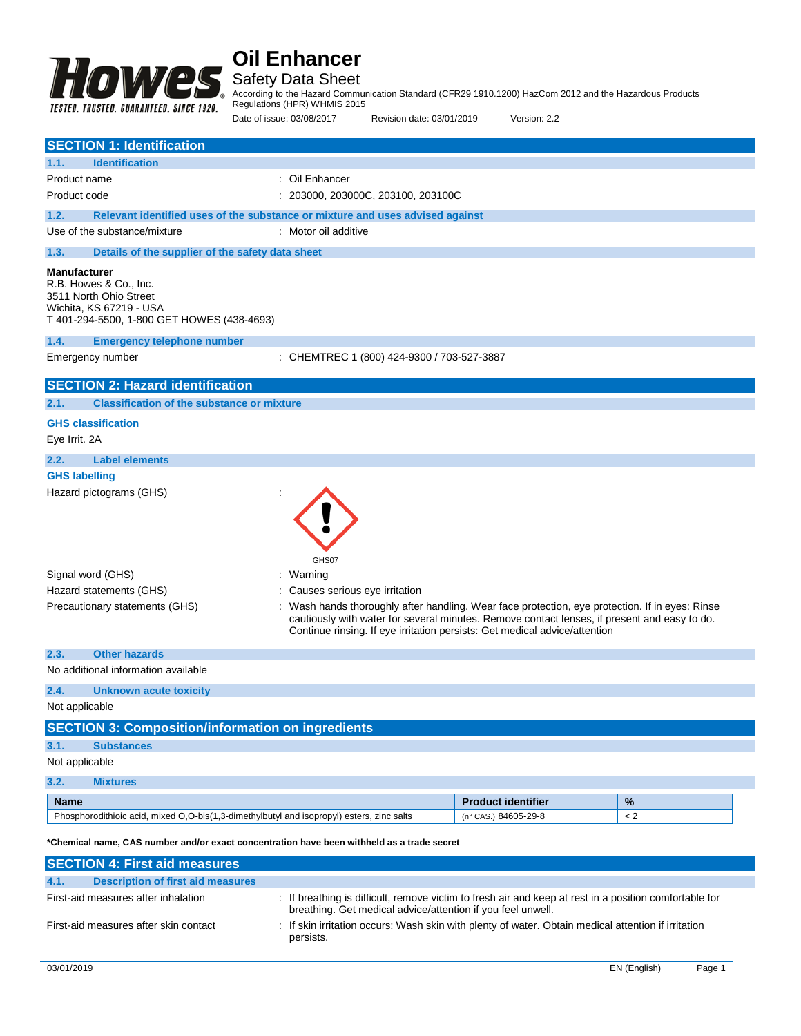

Safety Data Sheet

According to the Hazard Communication Standard (CFR29 1910.1200) HazCom 2012 and the Hazardous Products

Regulations (HPR) WHMIS 2015

|                                                                                                                                                  | Date of issue: 03/08/2017                                                     | Revision date: 03/01/2019                                                                                                                                                                                                                                                     | Version: 2.2              |         |
|--------------------------------------------------------------------------------------------------------------------------------------------------|-------------------------------------------------------------------------------|-------------------------------------------------------------------------------------------------------------------------------------------------------------------------------------------------------------------------------------------------------------------------------|---------------------------|---------|
| <b>SECTION 1: Identification</b>                                                                                                                 |                                                                               |                                                                                                                                                                                                                                                                               |                           |         |
| 1.1.<br><b>Identification</b>                                                                                                                    |                                                                               |                                                                                                                                                                                                                                                                               |                           |         |
| Product name                                                                                                                                     | : Oil Enhancer                                                                |                                                                                                                                                                                                                                                                               |                           |         |
| Product code                                                                                                                                     |                                                                               | : 203000, 203000C, 203100, 203100C                                                                                                                                                                                                                                            |                           |         |
| 1.2.                                                                                                                                             | Relevant identified uses of the substance or mixture and uses advised against |                                                                                                                                                                                                                                                                               |                           |         |
| Use of the substance/mixture                                                                                                                     | : Motor oil additive                                                          |                                                                                                                                                                                                                                                                               |                           |         |
| 1.3.<br>Details of the supplier of the safety data sheet                                                                                         |                                                                               |                                                                                                                                                                                                                                                                               |                           |         |
| <b>Manufacturer</b><br>R.B. Howes & Co., Inc.<br>3511 North Ohio Street<br>Wichita, KS 67219 - USA<br>T 401-294-5500, 1-800 GET HOWES (438-4693) |                                                                               |                                                                                                                                                                                                                                                                               |                           |         |
| 1.4.<br><b>Emergency telephone number</b>                                                                                                        |                                                                               |                                                                                                                                                                                                                                                                               |                           |         |
| Emergency number                                                                                                                                 |                                                                               | : CHEMTREC 1 (800) 424-9300 / 703-527-3887                                                                                                                                                                                                                                    |                           |         |
| <b>SECTION 2: Hazard identification</b>                                                                                                          |                                                                               |                                                                                                                                                                                                                                                                               |                           |         |
| 2.1.<br><b>Classification of the substance or mixture</b>                                                                                        |                                                                               |                                                                                                                                                                                                                                                                               |                           |         |
| <b>GHS classification</b>                                                                                                                        |                                                                               |                                                                                                                                                                                                                                                                               |                           |         |
| Eye Irrit. 2A                                                                                                                                    |                                                                               |                                                                                                                                                                                                                                                                               |                           |         |
| 2.2.<br><b>Label elements</b>                                                                                                                    |                                                                               |                                                                                                                                                                                                                                                                               |                           |         |
| <b>GHS labelling</b>                                                                                                                             |                                                                               |                                                                                                                                                                                                                                                                               |                           |         |
| Hazard pictograms (GHS)                                                                                                                          |                                                                               |                                                                                                                                                                                                                                                                               |                           |         |
| Signal word (GHS)<br>Hazard statements (GHS)<br>Precautionary statements (GHS)                                                                   | GHS07<br>: Warning<br>Causes serious eye irritation                           | : Wash hands thoroughly after handling. Wear face protection, eye protection. If in eyes: Rinse<br>cautiously with water for several minutes. Remove contact lenses, if present and easy to do.<br>Continue rinsing. If eye irritation persists: Get medical advice/attention |                           |         |
| <b>Other hazards</b><br>2.3.                                                                                                                     |                                                                               |                                                                                                                                                                                                                                                                               |                           |         |
| No additional information available                                                                                                              |                                                                               |                                                                                                                                                                                                                                                                               |                           |         |
| 2.4.<br><b>Unknown acute toxicity</b>                                                                                                            |                                                                               |                                                                                                                                                                                                                                                                               |                           |         |
| Not applicable                                                                                                                                   |                                                                               |                                                                                                                                                                                                                                                                               |                           |         |
| <b>SECTION 3: Composition/information on ingredients</b>                                                                                         |                                                                               |                                                                                                                                                                                                                                                                               |                           |         |
| 3.1.<br><b>Substances</b>                                                                                                                        |                                                                               |                                                                                                                                                                                                                                                                               |                           |         |
| Not applicable                                                                                                                                   |                                                                               |                                                                                                                                                                                                                                                                               |                           |         |
| 3.2.<br><b>Mixtures</b>                                                                                                                          |                                                                               |                                                                                                                                                                                                                                                                               |                           |         |
| <b>Name</b>                                                                                                                                      |                                                                               |                                                                                                                                                                                                                                                                               | <b>Product identifier</b> | $\%$    |
| Phosphorodithioic acid, mixed O,O-bis(1,3-dimethylbutyl and isopropyl) esters, zinc salts                                                        |                                                                               |                                                                                                                                                                                                                                                                               | (n° CAS.) 84605-29-8      | $\lt 2$ |
| *Chemical name, CAS number and/or exact concentration have been withheld as a trade secret                                                       |                                                                               |                                                                                                                                                                                                                                                                               |                           |         |
| <b>SECTION 4: First aid measures</b>                                                                                                             |                                                                               |                                                                                                                                                                                                                                                                               |                           |         |
| <b>Description of first aid measures</b><br>4.1.                                                                                                 |                                                                               |                                                                                                                                                                                                                                                                               |                           |         |
| First-aid measures after inhalation                                                                                                              |                                                                               | : If breathing is difficult, remove victim to fresh air and keep at rest in a position comfortable for<br>breathing. Get medical advice/attention if you feel unwell.                                                                                                         |                           |         |
| First-aid measures after skin contact                                                                                                            | persists.                                                                     | : If skin irritation occurs: Wash skin with plenty of water. Obtain medical attention if irritation                                                                                                                                                                           |                           |         |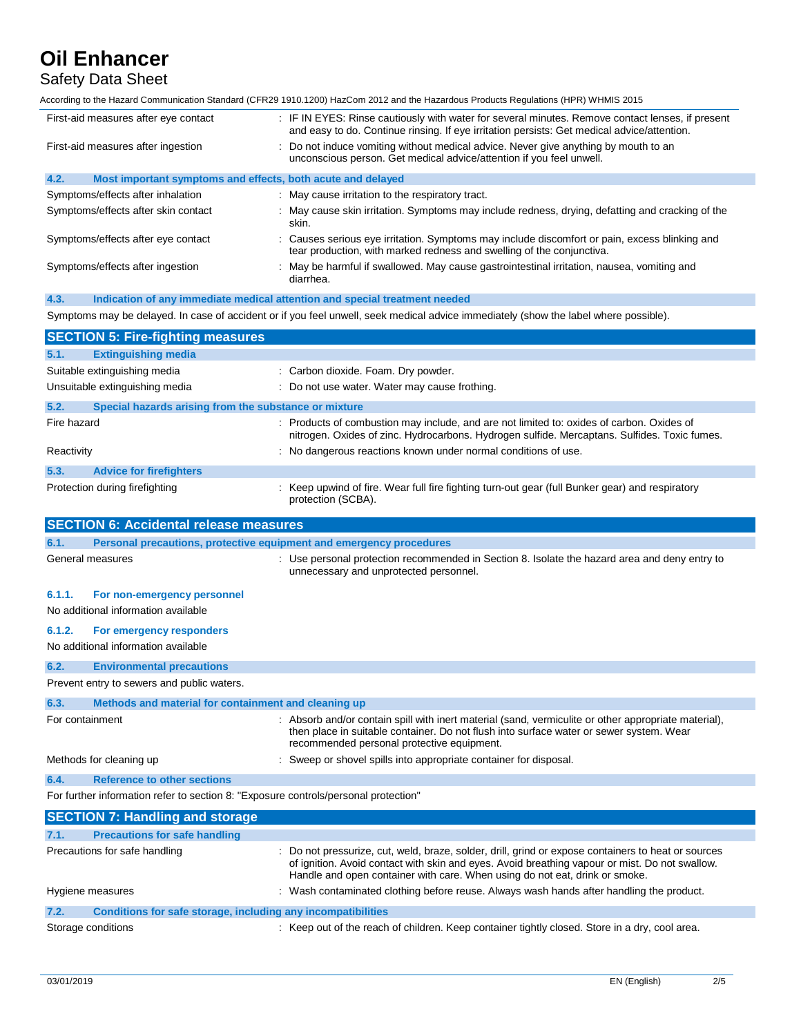Safety Data Sheet

According to the Hazard Communication Standard (CFR29 1910.1200) HazCom 2012 and the Hazardous Products Regulations (HPR) WHMIS 2015

| First-aid measures after eye contact                                                    | : IF IN EYES: Rinse cautiously with water for several minutes. Remove contact lenses, if present<br>and easy to do. Continue rinsing. If eye irritation persists: Get medical advice/attention.                                                                                      |
|-----------------------------------------------------------------------------------------|--------------------------------------------------------------------------------------------------------------------------------------------------------------------------------------------------------------------------------------------------------------------------------------|
| First-aid measures after ingestion                                                      | : Do not induce vomiting without medical advice. Never give anything by mouth to an<br>unconscious person. Get medical advice/attention if you feel unwell.                                                                                                                          |
| 4.2.<br>Most important symptoms and effects, both acute and delayed                     |                                                                                                                                                                                                                                                                                      |
| Symptoms/effects after inhalation                                                       | : May cause irritation to the respiratory tract.                                                                                                                                                                                                                                     |
| Symptoms/effects after skin contact                                                     | : May cause skin irritation. Symptoms may include redness, drying, defatting and cracking of the<br>skin.                                                                                                                                                                            |
| Symptoms/effects after eye contact                                                      | : Causes serious eye irritation. Symptoms may include discomfort or pain, excess blinking and<br>tear production, with marked redness and swelling of the conjunctiva.                                                                                                               |
| Symptoms/effects after ingestion                                                        | : May be harmful if swallowed. May cause gastrointestinal irritation, nausea, vomiting and<br>diarrhea.                                                                                                                                                                              |
| 4.3.<br>Indication of any immediate medical attention and special treatment needed      |                                                                                                                                                                                                                                                                                      |
|                                                                                         | Symptoms may be delayed. In case of accident or if you feel unwell, seek medical advice immediately (show the label where possible).                                                                                                                                                 |
| <b>SECTION 5: Fire-fighting measures</b>                                                |                                                                                                                                                                                                                                                                                      |
| 5.1.<br><b>Extinguishing media</b>                                                      |                                                                                                                                                                                                                                                                                      |
| Suitable extinguishing media                                                            | : Carbon dioxide. Foam. Dry powder.                                                                                                                                                                                                                                                  |
| Unsuitable extinguishing media                                                          | : Do not use water. Water may cause frothing.                                                                                                                                                                                                                                        |
| 5.2.<br>Special hazards arising from the substance or mixture                           |                                                                                                                                                                                                                                                                                      |
| Fire hazard                                                                             | : Products of combustion may include, and are not limited to: oxides of carbon. Oxides of<br>nitrogen. Oxides of zinc. Hydrocarbons. Hydrogen sulfide. Mercaptans. Sulfides. Toxic fumes.                                                                                            |
| Reactivity                                                                              | : No dangerous reactions known under normal conditions of use.                                                                                                                                                                                                                       |
| 5.3.<br><b>Advice for firefighters</b>                                                  |                                                                                                                                                                                                                                                                                      |
| Protection during firefighting                                                          | : Keep upwind of fire. Wear full fire fighting turn-out gear (full Bunker gear) and respiratory<br>protection (SCBA).                                                                                                                                                                |
|                                                                                         |                                                                                                                                                                                                                                                                                      |
|                                                                                         |                                                                                                                                                                                                                                                                                      |
| <b>SECTION 6: Accidental release measures</b><br>6.1.                                   |                                                                                                                                                                                                                                                                                      |
| Personal precautions, protective equipment and emergency procedures<br>General measures | : Use personal protection recommended in Section 8. Isolate the hazard area and deny entry to<br>unnecessary and unprotected personnel.                                                                                                                                              |
| 6.1.1.<br>For non-emergency personnel                                                   |                                                                                                                                                                                                                                                                                      |
| No additional information available                                                     |                                                                                                                                                                                                                                                                                      |
| 6.1.2.<br>For emergency responders                                                      |                                                                                                                                                                                                                                                                                      |
| No additional information available                                                     |                                                                                                                                                                                                                                                                                      |
| <b>Environmental precautions</b><br>6.2.                                                |                                                                                                                                                                                                                                                                                      |
| Prevent entry to sewers and public waters.                                              |                                                                                                                                                                                                                                                                                      |
| 6.3.<br>Methods and material for containment and cleaning up                            |                                                                                                                                                                                                                                                                                      |
| For containment                                                                         | : Absorb and/or contain spill with inert material (sand, vermiculite or other appropriate material),<br>then place in suitable container. Do not flush into surface water or sewer system. Wear<br>recommended personal protective equipment.                                        |
| Methods for cleaning up                                                                 | : Sweep or shovel spills into appropriate container for disposal.                                                                                                                                                                                                                    |
| <b>Reference to other sections</b><br>6.4.                                              |                                                                                                                                                                                                                                                                                      |
| For further information refer to section 8: "Exposure controls/personal protection"     |                                                                                                                                                                                                                                                                                      |
| <b>SECTION 7: Handling and storage</b>                                                  |                                                                                                                                                                                                                                                                                      |
| <b>Precautions for safe handling</b><br>7.1.                                            |                                                                                                                                                                                                                                                                                      |
| Precautions for safe handling                                                           | : Do not pressurize, cut, weld, braze, solder, drill, grind or expose containers to heat or sources<br>of ignition. Avoid contact with skin and eyes. Avoid breathing vapour or mist. Do not swallow.<br>Handle and open container with care. When using do not eat, drink or smoke. |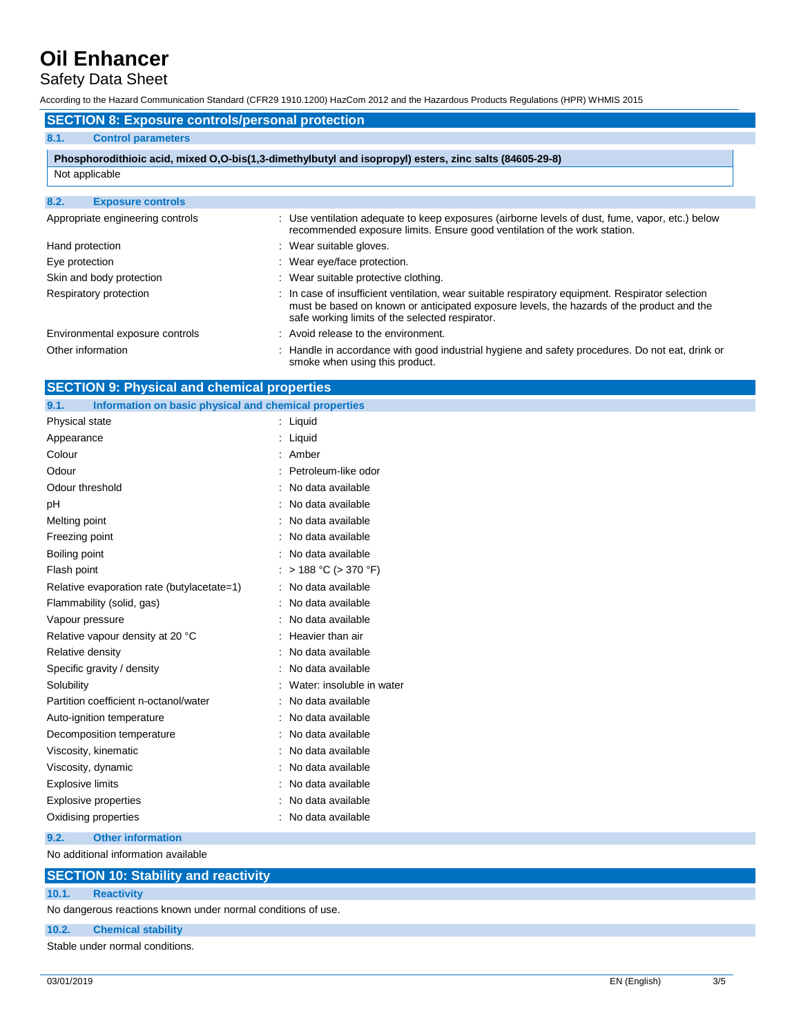# Safety Data Sheet

According to the Hazard Communication Standard (CFR29 1910.1200) HazCom 2012 and the Hazardous Products Regulations (HPR) WHMIS 2015

### **SECTION 8: Exposure controls/personal protection**

## **8.1. Control parameters**

## **Phosphorodithioic acid, mixed O,O-bis(1,3-dimethylbutyl and isopropyl) esters, zinc salts (84605-29-8)**

### **8.2. Exposure controls**

| Appropriate engineering controls | : Use ventilation adequate to keep exposures (airborne levels of dust, fume, vapor, etc.) below<br>recommended exposure limits. Ensure good ventilation of the work station.                                                                     |
|----------------------------------|--------------------------------------------------------------------------------------------------------------------------------------------------------------------------------------------------------------------------------------------------|
| Hand protection                  | : Wear suitable gloves.                                                                                                                                                                                                                          |
| Eye protection                   | : Wear eye/face protection.                                                                                                                                                                                                                      |
| Skin and body protection         | : Wear suitable protective clothing.                                                                                                                                                                                                             |
| Respiratory protection           | : In case of insufficient ventilation, wear suitable respiratory equipment. Respirator selection<br>must be based on known or anticipated exposure levels, the hazards of the product and the<br>safe working limits of the selected respirator. |
| Environmental exposure controls  | : Avoid release to the environment.                                                                                                                                                                                                              |
| Other information                | : Handle in accordance with good industrial hygiene and safety procedures. Do not eat, drink or<br>smoke when using this product.                                                                                                                |

## **SECTION 9: Physical and chemical properties**

| Information on basic physical and chemical properties<br>9.1. |                           |
|---------------------------------------------------------------|---------------------------|
| Physical state                                                | Liquid                    |
| Appearance                                                    | Liquid                    |
| Colour                                                        | Amber                     |
| Odour                                                         | Petroleum-like odor       |
| Odour threshold                                               | No data available         |
| pH                                                            | No data available         |
| Melting point                                                 | No data available         |
| Freezing point                                                | No data available         |
| Boiling point                                                 | No data available         |
| Flash point                                                   | $> 188 °C$ ( $> 370 °F$ ) |
| Relative evaporation rate (butylacetate=1)                    | No data available         |
| Flammability (solid, gas)                                     | No data available         |
| Vapour pressure                                               | No data available         |
| Relative vapour density at 20 °C                              | Heavier than air          |
| Relative density                                              | No data available         |
| Specific gravity / density                                    | No data available         |
| Solubility                                                    | Water: insoluble in water |
| Partition coefficient n-octanol/water                         | No data available         |
| Auto-ignition temperature                                     | No data available         |
| Decomposition temperature                                     | No data available         |
| Viscosity, kinematic                                          | No data available         |
| Viscosity, dynamic                                            | No data available         |
| <b>Explosive limits</b>                                       | No data available         |
| <b>Explosive properties</b>                                   | No data available         |
| Oxidising properties                                          | No data available         |
|                                                               |                           |

## **9.2. Other information**

No additional information available

| <b>SECTION 10: Stability and reactivity</b> |  |
|---------------------------------------------|--|
|---------------------------------------------|--|

### **10.1. Reactivity**

No dangerous reactions known under normal conditions of use.

## **10.2. Chemical stability**

Stable under normal conditions.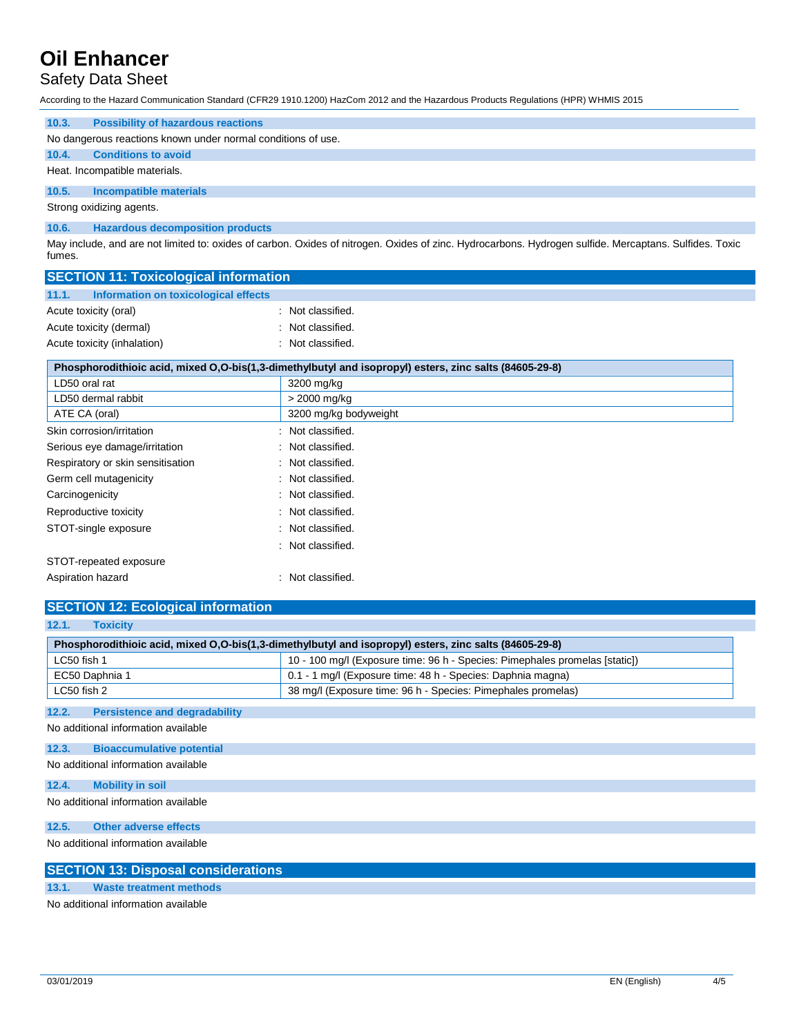# Safety Data Sheet

According to the Hazard Communication Standard (CFR29 1910.1200) HazCom 2012 and the Hazardous Products Regulations (HPR) WHMIS 2015

| 10.3.                    | <b>Possibility of hazardous reactions</b>                    |  |  |  |
|--------------------------|--------------------------------------------------------------|--|--|--|
|                          | No dangerous reactions known under normal conditions of use. |  |  |  |
| 10.4.                    | <b>Conditions to avoid</b>                                   |  |  |  |
|                          | Heat. Incompatible materials.                                |  |  |  |
| 10.5.                    | Incompatible materials                                       |  |  |  |
| Strong oxidizing agents. |                                                              |  |  |  |
| 10.6.                    | <b>Hazardous decomposition products</b>                      |  |  |  |

May include, and are not limited to: oxides of carbon. Oxides of nitrogen. Oxides of zinc. Hydrocarbons. Hydrogen sulfide. Mercaptans. Sulfides. Toxic fumes.

| <b>SECTION 11: Toxicological information</b>                                                           |                   |  |
|--------------------------------------------------------------------------------------------------------|-------------------|--|
| 11.1.<br>Information on toxicological effects                                                          |                   |  |
| Acute toxicity (oral)                                                                                  | : Not classified. |  |
| Acute toxicity (dermal)                                                                                | : Not classified. |  |
| Acute toxicity (inhalation)                                                                            | : Not classified. |  |
| Phosphorodithioic acid, mixed O,O-bis(1,3-dimethylbutyl and isopropyl) esters, zinc salts (84605-29-8) |                   |  |

| LD50 oral rat                     | 3200 mg/kg                   |
|-----------------------------------|------------------------------|
| LD50 dermal rabbit                | > 2000 mg/kg                 |
| ATE CA (oral)                     | 3200 mg/kg bodyweight        |
| Skin corrosion/irritation         | : Not classified.            |
| Serious eye damage/irritation     | : Not classified.            |
| Respiratory or skin sensitisation | : Not classified.            |
| Germ cell mutagenicity            | : Not classified.            |
| Carcinogenicity                   | : Not classified.            |
| Reproductive toxicity             | Not classified.<br>$\bullet$ |
| STOT-single exposure              | : Not classified.            |
|                                   | : Not classified.            |
| STOT-repeated exposure            |                              |
| Aspiration hazard                 | : Not classified.            |

# **SECTION 12: Ecological information**

| 12.1.<br><b>Toxicity</b>                      |                                                                                                        |
|-----------------------------------------------|--------------------------------------------------------------------------------------------------------|
|                                               | Phosphorodithioic acid, mixed O,O-bis(1,3-dimethylbutyl and isopropyl) esters, zinc salts (84605-29-8) |
| LC50 fish 1                                   | 10 - 100 mg/l (Exposure time: 96 h - Species: Pimephales promelas [static])                            |
| EC50 Daphnia 1                                | 0.1 - 1 mg/l (Exposure time: 48 h - Species: Daphnia magna)                                            |
| LC50 fish 2                                   | 38 mg/l (Exposure time: 96 h - Species: Pimephales promelas)                                           |
| 12.2.<br><b>Persistence and degradability</b> |                                                                                                        |
| No additional information available           |                                                                                                        |
| 12.3.<br><b>Bioaccumulative potential</b>     |                                                                                                        |
| No additional information available           |                                                                                                        |
| 12.4.<br><b>Mobility in soil</b>              |                                                                                                        |
| No additional information available           |                                                                                                        |
| 12.5.<br><b>Other adverse effects</b>         |                                                                                                        |
| No additional information available           |                                                                                                        |
| <b>SECTION 13: Disposal considerations</b>    |                                                                                                        |
| <b>Waste treatment methods</b><br>13.1.       |                                                                                                        |
| No additional information available           |                                                                                                        |

No additional information available